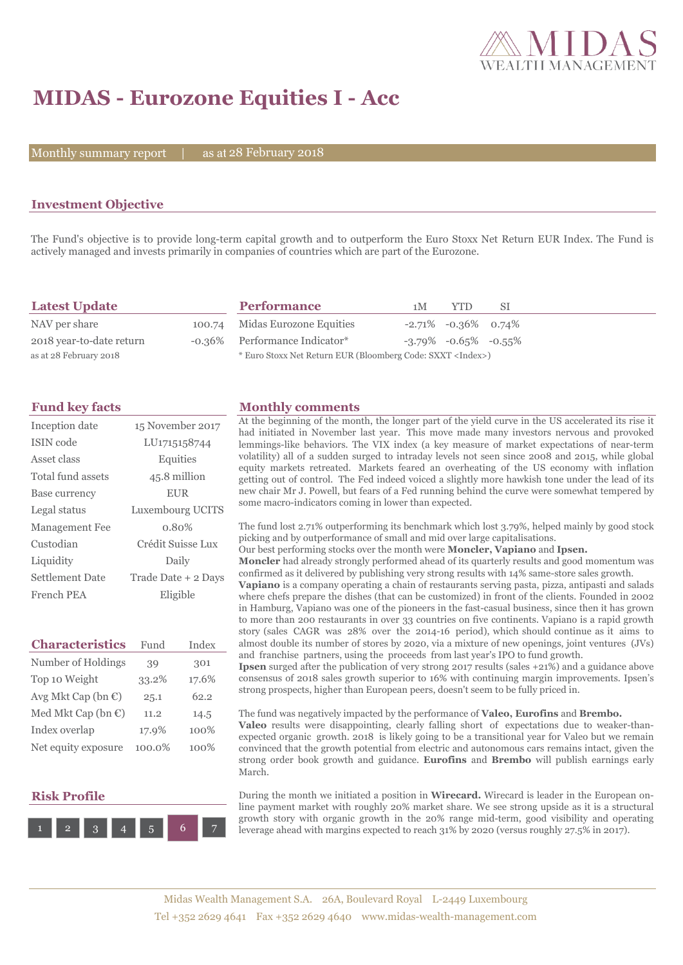

# **MIDAS - Eurozone Equities I - Acc**

Monthly summary report  $|$ 

as at 28 February 2018

### **Investment Objective**

The Fund's objective is to provide long-term capital growth and to outperform the Euro Stoxx Net Return EUR Index. The Fund is actively managed and invests primarily in companies of countries which are part of the Eurozone.

| <b>Latest Update</b>     | <b>Performance</b>                                                 | 1 <sub>M</sub> | YTD.                          | -SI |  |
|--------------------------|--------------------------------------------------------------------|----------------|-------------------------------|-----|--|
| NAV per share            | 100.74 Midas Eurozone Equities                                     |                | $-2.71\%$ $-0.36\%$ 0.74%     |     |  |
| 2018 year-to-date return | -0.36% Performance Indicator*                                      |                | $-3.79\%$ $-0.65\%$ $-0.55\%$ |     |  |
| as at 28 February 2018   | * Euro Stoxx Net Return EUR (Bloomberg Code: SXXT <index>)</index> |                |                               |     |  |

| Inception date    | 15 November 2017    |
|-------------------|---------------------|
| ISIN code         | LU1715158744        |
| Asset class       | Equities            |
| Total fund assets | 45.8 million        |
| Base currency     | <b>EUR</b>          |
| Legal status      | Luxembourg UCITS    |
| Management Fee    | $0.80\%$            |
| Custodian         | Crédit Suisse Lux   |
| Liquidity         | Daily               |
| Settlement Date   | Trade Date + 2 Days |
| French PEA        | Eligible            |

| <b>Characteristics</b>         | Fund   | Index |  |
|--------------------------------|--------|-------|--|
| Number of Holdings             | 39     | 301   |  |
| Top 10 Weight                  | 33.2%  | 17.6% |  |
| Avg Mkt Cap (bn $\mathbb{C}$ ) | 25.1   | 62.2  |  |
| Med Mkt Cap (bn $\mathbb{C}$ ) | 11.2   | 14.5  |  |
| Index overlap                  | 17.9%  | 100%  |  |
| Net equity exposure            | 100.0% | 100%  |  |

### **Risk Profile**



#### **Fund key facts Monthly comments**

At the beginning of the month, the longer part of the yield curve in the US accelerated its rise it had initiated in November last year. This move made many investors nervous and provoked lemmings-like behaviors. The VIX index (a key measure of market expectations of near-term volatility) all of a sudden surged to intraday levels not seen since 2008 and 2015, while global equity markets retreated. Markets feared an overheating of the US economy with inflation getting out of control. The Fed indeed voiced a slightly more hawkish tone under the lead of its new chair Mr J. Powell, but fears of a Fed running behind the curve were somewhat tempered by some macro-indicators coming in lower than expected.

The fund lost 2.71% outperforming its benchmark which lost 3.79%, helped mainly by good stock picking and by outperformance of small and mid over large capitalisations.

Our best performing stocks over the month were **Moncler, Vapiano** and **Ipsen.**

**Moncler** had already strongly performed ahead of its quarterly results and good momentum was confirmed as it delivered by publishing very strong results with 14% same-store sales growth.

**Vapiano** is a company operating a chain of restaurants serving pasta, pizza, antipasti and salads where chefs prepare the dishes (that can be customized) in front of the clients. Founded in 2002 in Hamburg, Vapiano was one of the pioneers in the fast-casual business, since then it has grown to more than 200 restaurants in over 33 countries on five continents. Vapiano is a rapid growth story (sales CAGR was 28% over the 2014-16 period), which should continue as it aims to almost double its number of stores by 2020, via a mixture of new openings, joint ventures (JVs) and franchise partners, using the proceeds from last year's IPO to fund growth.

**Ipsen** surged after the publication of very strong 2017 results (sales +21%) and a guidance above consensus of 2018 sales growth superior to 16% with continuing margin improvements. Ipsen's strong prospects, higher than European peers, doesn't seem to be fully priced in.

The fund was negatively impacted by the performance of **Valeo, Eurofins** and **Brembo. Valeo** results were disappointing, clearly falling short of expectations due to weaker-thanexpected organic growth. 2018 is likely going to be a transitional year for Valeo but we remain convinced that the growth potential from electric and autonomous cars remains intact, given the strong order book growth and guidance. **Eurofins** and **Brembo** will publish earnings early March.

During the month we initiated a position in **Wirecard.** Wirecard is leader in the European online payment market with roughly 20% market share. We see strong upside as it is a structural growth story with organic growth in the 20% range mid-term, good visibility and operating leverage ahead with margins expected to reach 31% by 2020 (versus roughly 27.5% in 2017).